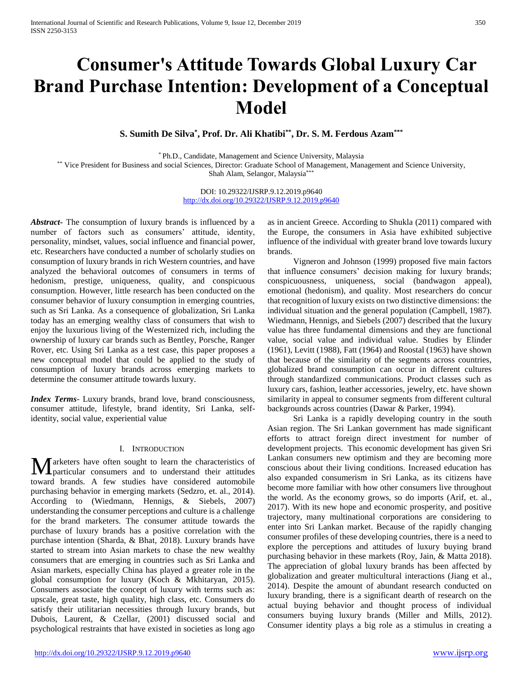# **Consumer's Attitude Towards Global Luxury Car Brand Purchase Intention: Development of a Conceptual Model**

**S. Sumith De Silva\* , Prof. Dr. Ali Khatibi\*\*, Dr. S. M. Ferdous Azam\*\*\***

\* Ph.D., Candidate, Management and Science University, Malaysia

\*\* Vice President for Business and social Sciences, Director: Graduate School of Management, Management and Science University, Shah Alam, Selangor, Malaysia\*\*\*

> DOI: 10.29322/IJSRP.9.12.2019.p9640 <http://dx.doi.org/10.29322/IJSRP.9.12.2019.p9640>

*Abstract***-** The consumption of luxury brands is influenced by a number of factors such as consumers' attitude, identity, personality, mindset, values, social influence and financial power, etc. Researchers have conducted a number of scholarly studies on consumption of luxury brands in rich Western countries, and have analyzed the behavioral outcomes of consumers in terms of hedonism, prestige, uniqueness, quality, and conspicuous consumption. However, little research has been conducted on the consumer behavior of luxury consumption in emerging countries, such as Sri Lanka. As a consequence of globalization, Sri Lanka today has an emerging wealthy class of consumers that wish to enjoy the luxurious living of the Westernized rich, including the ownership of luxury car brands such as Bentley, Porsche, Ranger Rover, etc. Using Sri Lanka as a test case, this paper proposes a new conceptual model that could be applied to the study of consumption of luxury brands across emerging markets to determine the consumer attitude towards luxury.

*Index Terms*- Luxury brands, brand love, brand consciousness, consumer attitude, lifestyle, brand identity, Sri Lanka, selfidentity, social value, experiential value

#### I. INTRODUCTION

arketers have often sought to learn the characteristics of **M**arketers have often sought to learn the characteristics of particular consumers and to understand their attitudes toward brands. A few studies have considered automobile purchasing behavior in emerging markets (Sedzro, et. al., 2014). According to (Wiedmann, Hennigs, & Siebels, 2007) understanding the consumer perceptions and culture is a challenge for the brand marketers. The consumer attitude towards the purchase of luxury brands has a positive correlation with the purchase intention (Sharda, & Bhat, 2018). Luxury brands have started to stream into Asian markets to chase the new wealthy consumers that are emerging in countries such as Sri Lanka and Asian markets, especially China has played a greater role in the global consumption for luxury (Koch & Mkhitaryan, 2015). Consumers associate the concept of luxury with terms such as: upscale, great taste, high quality, high class, etc. Consumers do satisfy their utilitarian necessities through luxury brands, but Dubois, Laurent, & Czellar, (2001) discussed social and psychological restraints that have existed in societies as long ago

as in ancient Greece. According to Shukla (2011) compared with the Europe, the consumers in Asia have exhibited subjective influence of the individual with greater brand love towards luxury brands.

 Vigneron and Johnson (1999) proposed five main factors that influence consumers' decision making for luxury brands; conspicuousness, uniqueness, social (bandwagon appeal), emotional (hedonism), and quality. Most researchers do concur that recognition of luxury exists on two distinctive dimensions: the individual situation and the general population (Campbell, 1987). Wiedmann, Hennigs, and Siebels (2007) described that the luxury value has three fundamental dimensions and they are functional value, social value and individual value. Studies by Elinder (1961), Levitt (1988), Fatt (1964) and Roostal (1963) have shown that because of the similarity of the segments across countries, globalized brand consumption can occur in different cultures through standardized communications. Product classes such as luxury cars, fashion, leather accessories, jewelry, etc. have shown similarity in appeal to consumer segments from different cultural backgrounds across countries (Dawar & Parker, 1994).

 Sri Lanka is a rapidly developing country in the south Asian region. The Sri Lankan government has made significant efforts to attract foreign direct investment for number of development projects. This economic development has given Sri Lankan consumers new optimism and they are becoming more conscious about their living conditions. Increased education has also expanded consumerism in Sri Lanka, as its citizens have become more familiar with how other consumers live throughout the world. As the economy grows, so do imports (Arif, et. al., 2017). With its new hope and economic prosperity, and positive trajectory, many multinational corporations are considering to enter into Sri Lankan market. Because of the rapidly changing consumer profiles of these developing countries, there is a need to explore the perceptions and attitudes of luxury buying brand purchasing behavior in these markets (Roy, Jain, & Matta 2018). The appreciation of global luxury brands has been affected by globalization and greater multicultural interactions (Jiang et al., 2014). Despite the amount of abundant research conducted on luxury branding, there is a significant dearth of research on the actual buying behavior and thought process of individual consumers buying luxury brands (Miller and Mills, 2012). Consumer identity plays a big role as a stimulus in creating a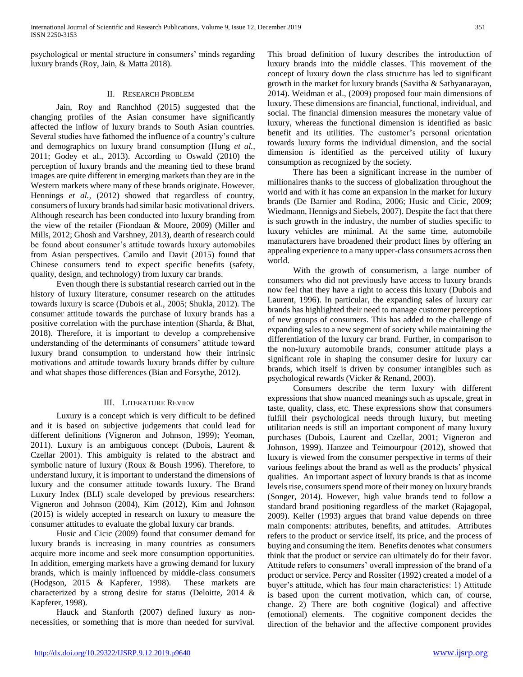psychological or mental structure in consumers' minds regarding luxury brands (Roy, Jain, & Matta 2018).

#### II. RESEARCH PROBLEM

 Jain, Roy and Ranchhod (2015) suggested that the changing profiles of the Asian consumer have significantly affected the inflow of luxury brands to South Asian countries. Several studies have fathomed the influence of a country's culture and demographics on luxury brand consumption (Hung *et al.,* 2011; Godey et al., 2013). According to Oswald (2010) the perception of luxury brands and the meaning tied to these brand images are quite different in emerging markets than they are in the Western markets where many of these brands originate. However, Hennings *et al.,* (2012) showed that regardless of country, consumers of luxury brands had similar basic motivational drivers. Although research has been conducted into luxury branding from the view of the retailer (Fiondaan & Moore, 2009) (Miller and Mills, 2012; Ghosh and Varshney, 2013), dearth of research could be found about consumer's attitude towards luxury automobiles from Asian perspectives. Camilo and Davit (2015) found that Chinese consumers tend to expect specific benefits (safety, quality, design, and technology) from luxury car brands.

 Even though there is substantial research carried out in the history of luxury literature, consumer research on the attitudes towards luxury is scarce (Dubois et al., 2005; Shukla, 2012). The consumer attitude towards the purchase of luxury brands has a positive correlation with the purchase intention (Sharda, & Bhat, 2018). Therefore, it is important to develop a comprehensive understanding of the determinants of consumers' attitude toward luxury brand consumption to understand how their intrinsic motivations and attitude towards luxury brands differ by culture and what shapes those differences (Bian and Forsythe, 2012).

## III. LITERATURE REVIEW

 Luxury is a concept which is very difficult to be defined and it is based on subjective judgements that could lead for different definitions (Vigneron and Johnson, 1999); Yeoman, 2011). Luxury is an ambiguous concept (Dubois, Laurent & Czellar 2001). This ambiguity is related to the abstract and symbolic nature of luxury (Roux & Boush 1996). Therefore, to understand luxury, it is important to understand the dimensions of luxury and the consumer attitude towards luxury. The Brand Luxury Index (BLI) scale developed by previous researchers: Vigneron and Johnson (2004), Kim (2012), Kim and Johnson (2015) is widely accepted in research on luxury to measure the consumer attitudes to evaluate the global luxury car brands.

 Husic and Cicic (2009) found that consumer demand for luxury brands is increasing in many countries as consumers acquire more income and seek more consumption opportunities. In addition, emerging markets have a growing demand for luxury brands, which is mainly influenced by middle-class consumers (Hodgson, 2015 & Kapferer, 1998). These markets are characterized by a strong desire for status (Deloitte, 2014 & Kapferer, 1998).

 Hauck and Stanforth (2007) defined luxury as nonnecessities, or something that is more than needed for survival. This broad definition of luxury describes the introduction of luxury brands into the middle classes. This movement of the concept of luxury down the class structure has led to significant growth in the market for luxury brands (Savitha & Sathyanarayan, 2014). Weidman et al., (2009) proposed four main dimensions of luxury. These dimensions are financial, functional, individual, and social. The financial dimension measures the monetary value of luxury, whereas the functional dimension is identified as basic benefit and its utilities. The customer's personal orientation towards luxury forms the individual dimension, and the social dimension is identified as the perceived utility of luxury consumption as recognized by the society.

 There has been a significant increase in the number of millionaires thanks to the success of globalization throughout the world and with it has come an expansion in the market for luxury brands (De Barnier and Rodina, 2006; Husic and Cicic, 2009; Wiedmann, Hennigs and Siebels, 2007). Despite the fact that there is such growth in the industry, the number of studies specific to luxury vehicles are minimal. At the same time, automobile manufacturers have broadened their product lines by offering an appealing experience to a many upper-class consumers across then world.

 With the growth of consumerism, a large number of consumers who did not previously have access to luxury brands now feel that they have a right to access this luxury (Dubois and Laurent, 1996). In particular, the expanding sales of luxury car brands has highlighted their need to manage customer perceptions of new groups of consumers. This has added to the challenge of expanding sales to a new segment of society while maintaining the differentiation of the luxury car brand. Further, in comparison to the non-luxury automobile brands, consumer attitude plays a significant role in shaping the consumer desire for luxury car brands, which itself is driven by consumer intangibles such as psychological rewards (Vicker & Renand, 2003).

 Consumers describe the term luxury with different expressions that show nuanced meanings such as upscale, great in taste, quality, class, etc. These expressions show that consumers fulfill their psychological needs through luxury, but meeting utilitarian needs is still an important component of many luxury purchases (Dubois, Laurent and Czellar, 2001; Vigneron and Johnson, 1999). Hanzee and Teimourpour (2012), showed that luxury is viewed from the consumer perspective in terms of their various feelings about the brand as well as the products' physical qualities. An important aspect of luxury brands is that as income levels rise, consumers spend more of their money on luxury brands (Songer, 2014). However, high value brands tend to follow a standard brand positioning regardless of the market (Rajagopal, 2009). Keller (1993) argues that brand value depends on three main components: attributes, benefits, and attitudes. Attributes refers to the product or service itself, its price, and the process of buying and consuming the item. Benefits denotes what consumers think that the product or service can ultimately do for their favor. Attitude refers to consumers' overall impression of the brand of a product or service. Percy and Rossiter (1992) created a model of a buyer's attitude, which has four main characteristics: 1) Attitude is based upon the current motivation, which can, of course, change. 2) There are both cognitive (logical) and affective (emotional) elements. The cognitive component decides the direction of the behavior and the affective component provides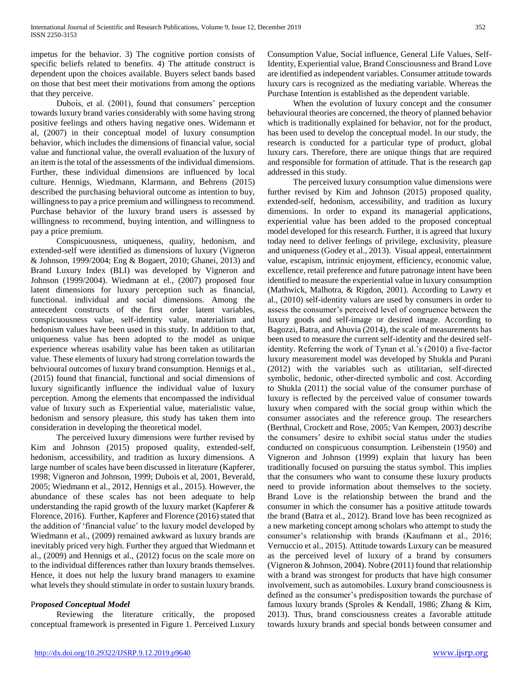impetus for the behavior. 3) The cognitive portion consists of specific beliefs related to benefits. 4) The attitude construct is dependent upon the choices available. Buyers select bands based on those that best meet their motivations from among the options that they perceive.

 Dubois, et al. (2001), found that consumers' perception towards luxury brand varies considerably with some having strong positive feelings and others having negative ones. Widemann et al, (2007) in their conceptual model of luxury consumption behavior, which includes the dimensions of financial value, social value and functional value, the overall evaluation of the luxury of an item is the total of the assessments of the individual dimensions. Further, these individual dimensions are influenced by local culture. Hennigs, Wiedmann, Klarmann, and Behrens (2015) described the purchasing behavioral outcome as intention to buy, willingness to pay a price premium and willingness to recommend. Purchase behavior of the luxury brand users is assessed by willingness to recommend, buying intention, and willingness to pay a price premium.

 Conspicuousness, uniqueness, quality, hedonism, and extended-self were identified as dimensions of luxury (Vigneron & Johnson, 1999/2004; Eng & Bogaert, 2010; Ghanei, 2013) and Brand Luxury Index (BLI) was developed by Vigneron and Johnson (1999/2004). Wiedmann at el., (2007) proposed four latent dimensions for luxury perception such as financial, functional. individual and social dimensions. Among the antecedent constructs of the first order latent variables, conspicuousness value, self-identity value, materialism and hedonism values have been used in this study. In addition to that, uniqueness value has been adopted to the model as unique experience whereas usability value has been taken as utilitarian value. These elements of luxury had strong correlation towards the behvioural outcomes of luxury brand consumption. Hennigs et al., (2015) found that financial, functional and social dimensions of luxury significantly influence the individual value of luxury perception. Among the elements that encompassed the individual value of luxury such as Experiential value, materialistic value, hedonism and sensory pleasure, this study has taken them into consideration in developing the theoretical model.

 The perceived luxury dimensions were further revised by Kim and Johnson (2015) proposed quality, extended-self, hedonism, accessibility, and tradition as luxury dimensions. A large number of scales have been discussed in literature (Kapferer, 1998; Vigneron and Johnson, 1999; Dubois et al, 2001, Beverald, 2005; Wiedmann et al., 2012, Hennigs et al., 2015). However, the abundance of these scales has not been adequate to help understanding the rapid growth of the luxury market (Kapferer & Florence, 2016). Further, Kapferer and Florence (2016) stated that the addition of 'financial value' to the luxury model developed by Wiedmann et al., (2009) remained awkward as luxury brands are inevitably priced very high. Further they argued that Wiedmann et al., (2009) and Hennigs et al., (2012) focus on the scale more on to the individual differences rather than luxury brands themselves. Hence, it does not help the luxury brand managers to examine what levels they should stimulate in order to sustain luxury brands.

## P*roposed Conceptual Model*

 Reviewing the literature critically, the proposed conceptual framework is presented in Figure 1. Perceived Luxury Consumption Value, Social influence, General Life Values, Self-Identity, Experiential value, Brand Consciousness and Brand Love are identified as independent variables. Consumer attitude towards luxury cars is recognized as the mediating variable. Whereas the Purchase Intention is established as the dependent variable.

 When the evolution of luxury concept and the consumer behavioural theories are concerned, the theory of planned behavior which is traditionally explained for behavior, not for the product, has been used to develop the conceptual model. In our study, the research is conducted for a particular type of product, global luxury cars. Therefore, there are unique things that are required and responsible for formation of attitude. That is the research gap addressed in this study.

 The perceived luxury consumption value dimensions were further revised by Kim and Johnson (2015) proposed quality, extended-self, hedonism, accessibility, and tradition as luxury dimensions. In order to expand its managerial applications, experiential value has been added to the proposed conceptual model developed for this research. Further, it is agreed that luxury today need to deliver feelings of privilege, exclusivity, pleasure and uniqueness (Godey et al., 2013). Visual appeal, entertainment value, escapism, intrinsic enjoyment, efficiency, economic value, excellence, retail preference and future patronage intent have been identified to measure the experiential value in luxury consumption (Mathwick, Malhotra, & Rigdon, 2001). According to Lawry et al., (2010) self-identity values are used by consumers in order to assess the consumer's perceived level of congruence between the luxury goods and self-image or desired image. According to Bagozzi, Batra, and Ahuvia (2014), the scale of measurements has been used to measure the current self-identity and the desired selfidentity. Referring the work of Tynan et al.'s (2010) a five-factor luxury measurement model was developed by Shukla and Purani (2012) with the variables such as utilitarian, self-directed symbolic, hedonic, other-directed symbolic and cost. According to Shukla (2011) the social value of the consumer purchase of luxury is reflected by the perceived value of consumer towards luxury when compared with the social group within which the consumer associates and the reference group. The researchers (Berthnal, Crockett and Rose, 2005; Van Kempen, 2003) describe the consumers' desire to exhibit social status under the studies conducted on conspicuous consumption. Leibenstein (1950) and Vigneron and Johnson (1999) explain that luxury has been traditionally focused on pursuing the status symbol. This implies that the consumers who want to consume these luxury products need to provide information about themselves to the society. Brand Love is the relationship between the brand and the consumer in which the consumer has a positive attitude towards the brand (Batra et al., 2012). Brand love has been recognized as a new marketing concept among scholars who attempt to study the consumer's relationship with brands (Kaufmann et al., 2016; Vernuccio et al., 2015). Attitude towards Luxury can be measured as the perceived level of luxury of a brand by consumers (Vigneron & Johnson, 2004). Nobre (2011) found that relationship with a brand was strongest for products that have high consumer involvement, such as automobiles. Luxury brand consciousness is defined as the consumer's predisposition towards the purchase of famous luxury brands (Sproles & Kendall, 1986; Zhang & Kim, 2013). Thus, brand consciousness creates a favorable attitude towards luxury brands and special bonds between consumer and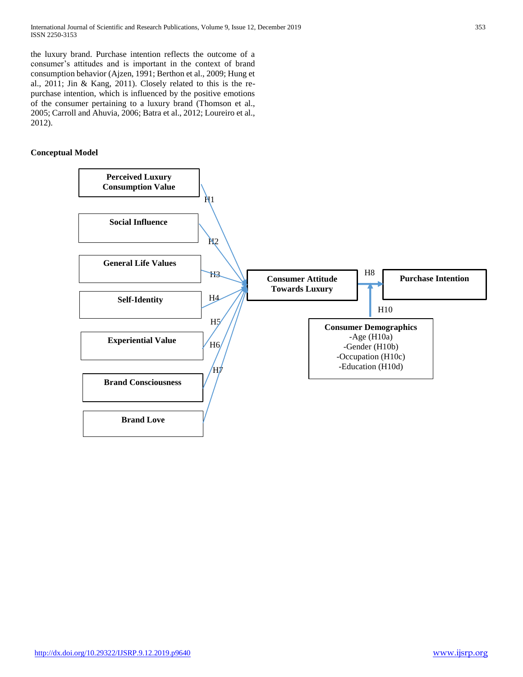the luxury brand. Purchase intention reflects the outcome of a consumer's attitudes and is important in the context of brand consumption behavior (Ajzen, 1991; Berthon et al., 2009; Hung et al., 2011; Jin & Kang, 2011). Closely related to this is the repurchase intention, which is influenced by the positive emotions of the consumer pertaining to a luxury brand (Thomson et al., 2005; Carroll and Ahuvia, 2006; Batra et al., 2012; Loureiro et al., 2012).

# **Conceptual Model**

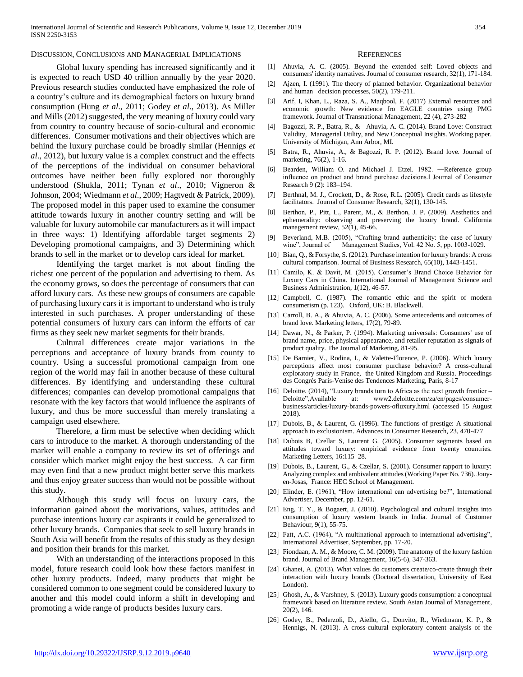#### DISCUSSION, CONCLUSIONS AND MANAGERIAL IMPLICATIONS

 Global luxury spending has increased significantly and it is expected to reach USD 40 trillion annually by the year 2020. Previous research studies conducted have emphasized the role of a country's culture and its demographical factors on luxury brand consumption (Hung *et al*., 2011; Godey *et al*., 2013). As Miller and Mills (2012) suggested, the very meaning of luxury could vary from country to country because of socio-cultural and economic differences. Consumer motivations and their objectives which are behind the luxury purchase could be broadly similar (Hennigs *et al*., 2012), but luxury value is a complex construct and the effects of the perceptions of the individual on consumer behavioral outcomes have neither been fully explored nor thoroughly understood (Shukla, 2011; Tynan *et al*., 2010; Vigneron & Johnson, 2004; Wiedmann *et al*., 2009; Hagtvedt & Patrick, 2009). The proposed model in this paper used to examine the consumer attitude towards luxury in another country setting and will be valuable for luxury automobile car manufacturers as it will impact in three ways: 1) Identifying affordable target segments 2) Developing promotional campaigns, and 3) Determining which brands to sell in the market or to develop cars ideal for market.

 Identifying the target market is not about finding the richest one percent of the population and advertising to them. As the economy grows, so does the percentage of consumers that can afford luxury cars. As these new groups of consumers are capable of purchasing luxury cars it is important to understand who is truly interested in such purchases. A proper understanding of these potential consumers of luxury cars can inform the efforts of car firms as they seek new market segments for their brands.

 Cultural differences create major variations in the perceptions and acceptance of luxury brands from county to country. Using a successful promotional campaign from one region of the world may fail in another because of these cultural differences. By identifying and understanding these cultural differences; companies can develop promotional campaigns that resonate with the key factors that would influence the aspirants of luxury, and thus be more successful than merely translating a campaign used elsewhere.

 Therefore, a firm must be selective when deciding which cars to introduce to the market. A thorough understanding of the market will enable a company to review its set of offerings and consider which market might enjoy the best success. A car firm may even find that a new product might better serve this markets and thus enjoy greater success than would not be possible without this study.

 Although this study will focus on luxury cars, the information gained about the motivations, values, attitudes and purchase intentions luxury car aspirants it could be generalized to other luxury brands. Companies that seek to sell luxury brands in South Asia will benefit from the results of this study as they design and position their brands for this market.

 With an understanding of the interactions proposed in this model, future research could look how these factors manifest in other luxury products. Indeed, many products that might be considered common to one segment could be considered luxury to another and this model could inform a shift in developing and promoting a wide range of products besides luxury cars.

#### **REFERENCES**

- [1] Ahuvia, A. C. (2005). Beyond the extended self: Loved objects and consumers' identity narratives. Journal of consumer research, 32(1), 171-184.
- [2] Ajzen, I. (1991). The theory of planned behavior. Organizational behavior and human decision processes, 50(2), 179-211.
- [3] Arif, I, Khan, L., Raza, S. A., Maqbool, F. (2017) External resources and economic growth: New evidence fro EAGLE countries using PMG framework. Journal of Transnational Management, 22 (4), 273-282
- [4] Bagozzi, R. P., Batra, R., & Ahuvia, A. C. (2014). Brand Love: Construct Validity, Managerial Utility, and New Conceptual Insights. Working paper. University of Michigan, Ann Arbor, MI.
- [5] Batra, R., Ahuvia, A., & Bagozzi, R. P. (2012). Brand love. Journal of marketing, 76(2), 1-16.
- [6] Bearden, William O. and Michael J. Etzel. 1982. ―Reference group influence on product and brand purchase decisions.‖ Journal of Consumer Research 9 (2): 183–194.
- [7] Berthnal, M. J., Crockett, D., & Rose, R.L. (2005). Credit cards as lifestyle facilitators. Journal of Consumer Research, 32(1), 130-145.
- [8] Berthon, P., Pitt, L., Parent, M., & Berthon, J. P. (2009). Aesthetics and ephemerality: observing and preserving the luxury brand. California management review, 52(1), 45-66.
- [9] Beverland, M.B. (2005), "Crafting brand authenticity: the case of luxury wine", Journal of Management Studies, Vol. 42 No. 5, pp. 1003-1029.
- [10] Bian, Q., & Forsythe, S. (2012). Purchase intention for luxury brands: A cross cultural comparison. Journal of Business Research, 65(10), 1443-1451.
- [11] Camilo, K. & Davit, M. (2015). Consumer's Brand Choice Behavior for Luxury Cars in China. International Journal of Management Science and Business Administration, 1(12), 46-57.
- [12] Campbell, C. (1987). The romantic ethic and the spirit of modern consumerism (p. 123). Oxford, UK: B. Blackwell.
- [13] Carroll, B. A., & Ahuvia, A. C. (2006). Some antecedents and outcomes of brand love. Marketing letters, 17(2), 79-89.
- [14] Dawar, N., & Parker, P. (1994). Marketing universals: Consumers' use of brand name, price, physical appearance, and retailer reputation as signals of product quality. The Journal of Marketing, 81-95.
- [15] De Barnier, V., Rodina, I., & Valette-Florence, P. (2006). Which luxury perceptions affect most consumer purchase behavior? A cross-cultural exploratory study in France, the United Kingdom and Russia. Proceedings des Congrés Paris-Venise des Tendences Marketing, Paris, 8-17
- [16] Deloitte. (2014), "Luxury brands turn to Africa as the next growth frontier Deloitte",Available at: www2.deloitte.com/za/en/pages/consumerbusiness/articles/luxury-brands-powers-ofluxury.html (accessed 15 August 2018).
- [17] Dubois, B., & Laurent, G. (1996). The functions of prestige: A situational approach to exclusionism. Advances in Consumer Research, 23, 470-477
- [18] Dubois B, Czellar S, Laurent G. (2005). Consumer segments based on attitudes toward luxury: empirical evidence from twenty countries. Marketing Letters, 16:115–28.
- [19] Dubois, B., Laurent, G., & Czellar, S. (2001). Consumer rapport to luxury: Analyzing complex and ambivalent attitudes (Working Paper No. 736). Jouyen-Josas, France: HEC School of Management.
- [20] Elinder, E. (1961), "How international can advertising be?", International Advertiser, December, pp. 12-61.
- [21] Eng, T. Y., & Bogaert, J. (2010). Psychological and cultural insights into consumption of luxury western brands in India. Journal of Customer Behaviour, 9(1), 55-75.
- [22] Fatt, A.C. (1964), "A multinational approach to international advertising", International Advertiser, September, pp. 17-20.
- [23] Fiondaan, A. M., & Moore, C. M. (2009). The anatomy of the luxury fashion brand. Journal of Brand Management, 16(5-6), 347-363.
- [24] Ghanei, A. (2013). What values do customers create/co-create through their interaction with luxury brands (Doctoral dissertation, University of East London).
- [25] Ghosh, A., & Varshney, S. (2013). Luxury goods consumption: a conceptual framework based on literature review. South Asian Journal of Management, 20(2), 146.
- [26] Godey, B., Pederzoli, D., Aiello, G., Donvito, R., Wiedmann, K. P., & Hennigs, N. (2013). A cross-cultural exploratory content analysis of the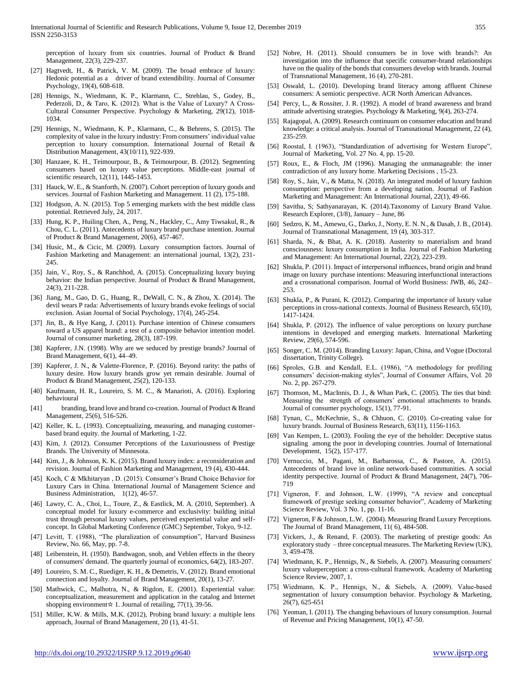perception of luxury from six countries. Journal of Product & Brand Management, 22(3), 229-237.

- [27] Hagtvedt, H., & Patrick, V. M. (2009). The broad embrace of luxury: Hedonic potential as a driver of brand extendibility. Journal of Consumer Psychology, 19(4), 608-618.
- [28] Hennigs, N., Wiedmann, K. P., Klarmann, C., Strehlau, S., Godey, B., Pederzoli, D., & Taro, K. (2012). What is the Value of Luxury? A Cross-Cultural Consumer Perspective. Psychology & Marketing, 29(12), 1018- 1034.
- [29] Hennigs, N., Wiedmann, K. P., Klarmann, C., & Behrens, S. (2015). The complexity of value in the luxury industry: From consumers' individual value perception to luxury consumption. International Journal of Retail & Distribution Management, 43(10/11), 922-939.
- [30] Hanzaee, K. H., Teimourpour, B., & Teimourpour, B. (2012). Segmenting consumers based on luxury value perceptions. Middle-east journal of scientific research, 12(11), 1445-1453.
- [31] Hauck, W. E., & Stanforth, N. (2007). Cohort perception of luxury goods and services. Journal of Fashion Marketing and Management. 11 (2), 175-188.
- [32] Hodgson, A. N. (2015). Top 5 emerging markets with the best middle class potential. Retrieved July, 24, 2017.
- [33] Hung, K. P., Huiling Chen, A., Peng, N., Hackley, C., Amy Tiwsakul, R., & Chou, C. L. (2011). Antecedents of luxury brand purchase intention. Journal of Product & Brand Management, 20(6), 457-467.
- [34] Husic, M., & Cicic, M. (2009). Luxury consumption factors. Journal of Fashion Marketing and Management: an international journal, 13(2), 231- 245.
- [35] Jain, V., Roy, S., & Ranchhod, A. (2015). Conceptualizing luxury buying behavior: the Indian perspective. Journal of Product & Brand Management, 24(3), 211-228.
- [36] Jiang, M., Gao, D. G., Huang, R., DeWall, C. N., & Zhou, X. (2014). The devil wears P rada: Advertisements of luxury brands evoke feelings of social exclusion. Asian Journal of Social Psychology, 17(4), 245-254.
- [37] Jin, B., & Hye Kang, J. (2011). Purchase intention of Chinese consumers toward a US apparel brand: a test of a composite behavior intention model. Journal of consumer marketing, 28(3), 187-199.
- [38] Kapferer, J.N. (1998). Why are we seduced by prestige brands? Journal of Brand Management, 6(1), 44–49.
- [39] Kapferer, J. N., & Valette-Florence, P. (2016). Beyond rarity: the paths of luxury desire. How luxury brands grow yet remain desirable. Journal of Product & Brand Management, 25(2), 120-133.
- [40] Kaufmann, H. R., Loureiro, S. M. C., & Manarioti, A. (2016). Exploring behavioural
- [41] branding, brand love and brand co-creation. Journal of Product & Brand Management, 25(6), 516-526.
- [42] Keller, K. L. (1993). Conceptualizing, measuring, and managing customerbased brand equity. the Journal of Marketing, 1-22.
- [43] Kim, J. (2012). Consumer Perceptions of the Luxuriousness of Prestige Brands. The University of Minnesota.
- [44] Kim, J., & Johnson, K. K. (2015). Brand luxury index: a reconsideration and revision. Journal of Fashion Marketing and Management, 19 (4), 430-444.
- [45] Koch, C & Mkhitaryan , D. (2015). Consumer's Brand Choice Behavior for Luxury Cars in China. International Journal of Management Science and Business Administration, 1(12), 46-57.
- [46] Lawry, C. A., Choi, L., Toure, Z., & Eastlick, M. A. (2010, September). A conceptual model for luxury e-commerce and exclusivity: building initial trust through personal luxury values, perceived experiential value and selfconcept. In Global Marketing Conference (GMC) September, Tokyo, 9-12.
- [47] Levitt, T. (1988), "The pluralization of consumption", Harvard Business Review, No. 66, May, pp. 7-8.
- [48] Leibenstein, H. (1950). Bandwagon, snob, and Veblen effects in the theory of consumers' demand. The quarterly journal of economics, 64(2), 183-207.
- [49] Loureiro, S. M. C., Ruediger, K. H., & Demetris, V. (2012). Brand emotional connection and loyalty. Journal of Brand Management, 20(1), 13-27.
- [50] Mathwick, C., Malhotra, N., & Rigdon, E. (2001). Experiential value: conceptualization, measurement and application in the catalog and Internet shopping environment  $\angle$  1. Journal of retailing, 77(1), 39-56.
- [51] Miller, K.W. & Mills, M.K. (2012), Probing brand luxury: a multiple lens approach, Journal of Brand Management, 20 (1), 41-51.
- [52] Nobre, H. (2011). Should consumers be in love with brands?: An investigation into the influence that specific consumer-brand relationships have on the quality of the bonds that consumers develop with brands. Journal of Transnational Management, 16 (4), 270-281.
- [53] Oswald, L. (2010). Developing brand literacy among affluent Chinese consumers: A semiotic perspective. ACR North American Advances.
- [54] Percy, L., & Rossiter, J. R. (1992). A model of brand awareness and brand attitude advertising strategies. Psychology & Marketing, 9(4), 263-274.
- [55] Rajagopal, A. (2009). Research continuum on consumer education and brand knowledge: a critical analysis. Journal of Transnational Management, 22 (4), 235-259.
- [56] Roostal, I. (1963), "Standardization of advertising for Western Europe", Journal of Marketing, Vol. 27 No. 4, pp. 15-20.
- [57] Roux, E., & Floch, JM (1996). Managing the unmanageable: the inner contradiction of any luxury home. Marketing Decisions , 15-23.
- [58] Roy, S., Jain, V., & Matta, N. (2018). An integrated model of luxury fashion consumption: perspective from a developing nation. Journal of Fashion Marketing and Management: An International Journal, 22(1), 49-66.
- [59] Savitha, S; Sathyanarayan, K. (2014).Taxonomy of Luxury Brand Value. Research Explorer, (3/8), January – June, 86
- [60] Sedzro, K. M., Amewu, G., Darko, J., Norty, E. N. N., & Dasah, J. B., (2014). Journal of Transnational Management, 19 (4), 303-317.
- [61] Sharda, N., & Bhat, A. K. (2018). Austerity to materialism and brand consciousness: luxury consumption in India. Journal of Fashion Marketing and Management: An International Journal, 22(2), 223-239.
- [62] Shukla, P. (2011). Impact of interpersonal influences, brand origin and brand image on luxury purchase intentions: Measuring interfunctional interactions and a crossnational comparison. Journal of World Business: JWB, 46, 242– 253.
- [63] Shukla, P., & Purani, K. (2012). Comparing the importance of luxury value perceptions in cross-national contexts. Journal of Business Research, 65(10), 1417-1424.
- [64] Shukla, P. (2012). The influence of value perceptions on luxury purchase intentions in developed and emerging markets. International Marketing Review, 29(6), 574-596.
- [65] Songer, C. M. (2014). Branding Luxury: Japan, China, and Vogue (Doctoral dissertation, Trinity College).
- [66] Sproles, G.B. and Kendall, E.L. (1986), "A methodology for profiling consumers' decision-making styles", Journal of Consumer Affairs, Vol. 20 No. 2, pp. 267-279.
- [67] Thomson, M., MacInnis, D. J., & Whan Park, C. (2005). The ties that bind: Measuring the strength of consumers' emotional attachments to brands. Journal of consumer psychology, 15(1), 77-91.
- [68] Tynan, C., McKechnie, S., & Chhuon, C. (2010). Co-creating value for luxury brands. Journal of Business Research, 63(11), 1156-1163.
- [69] Van Kempen, L. (2003). Fooling the eye of the beholder: Deceptive status signaling among the poor in developing countries. Journal of International Development, 15(2), 157-177.
- [70] Vernuccio, M., Pagani, M., Barbarossa, C., & Pastore, A. (2015). Antecedents of brand love in online network-based communities. A social identity perspective. Journal of Product & Brand Management, 24(7), 706- 719
- [71] Vigneron, F. and Johnson, L.W. (1999), "A review and conceptual framework of prestige seeking consumer behavior", Academy of Marketing Science Review, Vol. 3 No. 1, pp. 11-16.
- [72] Vigneron, F & Johnson, L.W. (2004). Measuring Brand Luxury Perceptions. The Journal of Brand Management, 11( 6), 484-508.
- [73] Vickers, J., & Renand, F. (2003). The marketing of prestige goods: An exploratory study – three conceptual measures. The Marketing Review (UK), 3, 459-478.
- [74] Wiedmann, K. P., Hennigs, N., & Siebels, A. (2007). Measuring consumers' luxury valueperception: a cross-cultural framework. Academy of Marketing Science Review, 2007, 1.
- [75] Wiedmann, K. P., Hennigs, N., & Siebels, A. (2009). Value-based segmentation of luxury consumption behavior. Psychology & Marketing, 26(7), 625-651
- [76] Yeoman, I. (2011). The changing behaviours of luxury consumption. Journal of Revenue and Pricing Management, 10(1), 47-50.